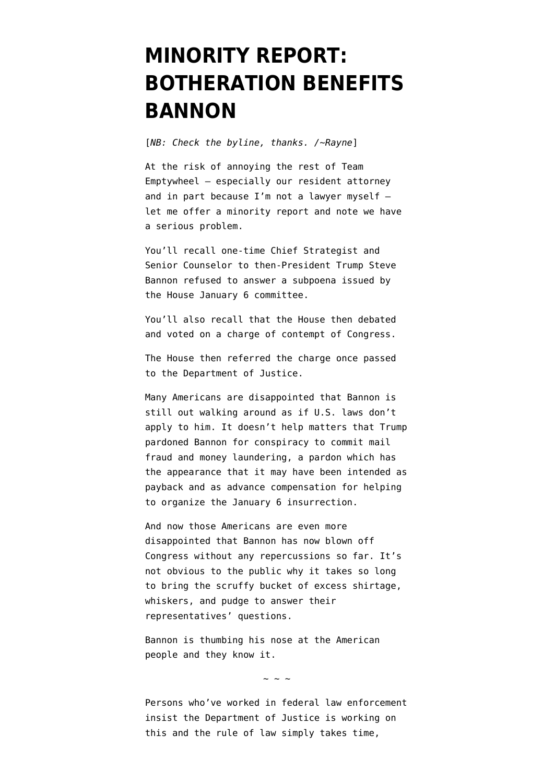## **[MINORITY REPORT:](https://www.emptywheel.net/2021/11/09/minority-report-botheration-benefits-bannon/) [BOTHERATION BENEFITS](https://www.emptywheel.net/2021/11/09/minority-report-botheration-benefits-bannon/) [BANNON](https://www.emptywheel.net/2021/11/09/minority-report-botheration-benefits-bannon/)**

[*NB: Check the byline, thanks. /~Rayne*]

At the risk of annoying the rest of Team Emptywheel — especially our resident attorney and in part because I'm not a lawyer myself let me offer a minority report and note we have a serious problem.

You'll recall one-time Chief Strategist and Senior Counselor to then-President Trump Steve Bannon refused to answer a subpoena issued by the House January 6 committee.

You'll also recall that the House then debated and voted on a charge of contempt of Congress.

The House then referred the charge once passed to the Department of Justice.

Many Americans are disappointed that Bannon is still out walking around as if U.S. laws don't apply to him. It doesn't help matters that Trump pardoned Bannon for conspiracy to commit mail fraud and money laundering, a pardon which has the appearance that it may have been intended as payback and as advance compensation for helping to organize the January 6 insurrection.

And now those Americans are even more disappointed that Bannon has now blown off Congress without any repercussions so far. It's not obvious to the public why it takes so long to bring the scruffy bucket of excess shirtage, whiskers, and pudge to answer their representatives' questions.

Bannon is thumbing his nose at the American people and they know it.

~ ~ ~

Persons who've worked in federal law enforcement insist the Department of Justice is working on this and the rule of law simply takes time,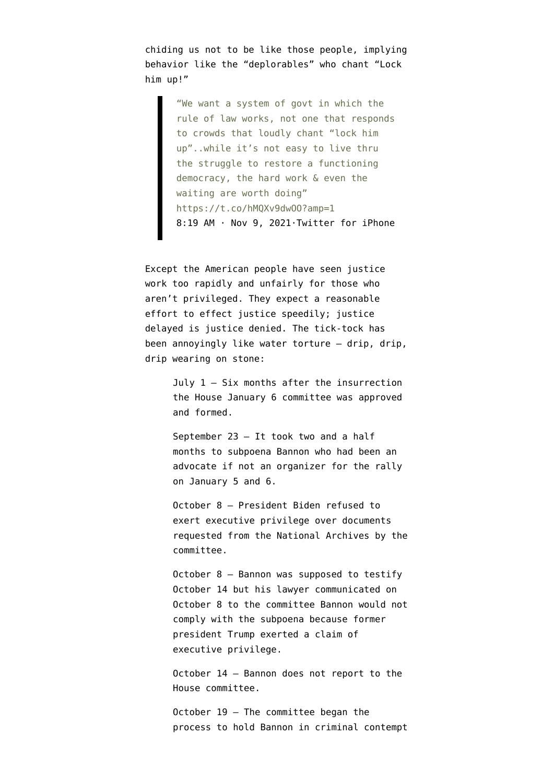chiding us not to be like those people, implying behavior like the "deplorables" who chant "Lock him up!"

> "We want a system of govt in which the rule of law works, not one that responds to crowds that loudly chant "lock him up"..while it's not easy to live thru the struggle to restore a functioning democracy, the hard work & even the waiting are worth doing" https://t.co/hMQXv9dwOO?amp=1 [8:19 AM · Nov 9, 2021·Twitter for iPhone](https://twitter.com/JoyceWhiteVance/status/1458061773458771971?ref_src=twsrc%5Etfw)

Except the American people have seen justice work too rapidly and unfairly for those who aren't privileged. They expect a reasonable effort to effect justice speedily; justice delayed is justice denied. The tick-tock has been annoyingly like water torture — drip, drip, drip wearing on stone:

> July  $1 - Six$  months after the insurrection the House January 6 committee was approved and formed.

> September 23 — It took two and a half months to subpoena Bannon who had been an advocate if not an organizer for the rally on January 5 and 6.

October 8 — President Biden refused to exert executive privilege over documents requested from the National Archives by the committee.

October 8 — Bannon was supposed to testify October 14 but his lawyer communicated on October 8 to the committee Bannon would not comply with the subpoena because former president Trump exerted a claim of executive privilege.

October 14 — Bannon does not report to the House committee.

October 19 — The committee began the process to hold Bannon in criminal contempt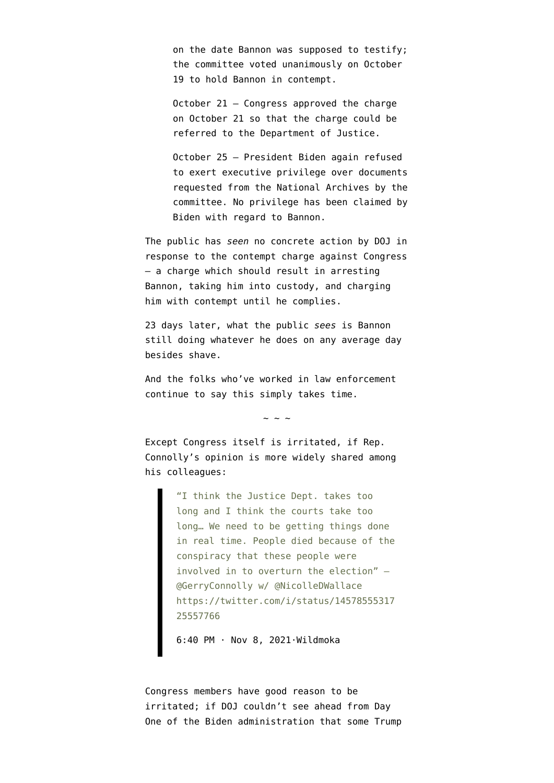on the date Bannon was supposed to testify; the committee voted unanimously on October 19 to hold Bannon in contempt.

October 21 — Congress [approved the charge](https://rules.house.gov/sites/democrats.rules.house.gov/files/CRPT-117hrpt152.pdf) on October 21 so that the charge could be referred to the Department of Justice.

October 25 — President Biden again refused to exert executive privilege over documents requested from the National Archives by the committee. No privilege has been claimed by Biden with regard to Bannon.

The public has *seen* no concrete action by DOJ in response to the contempt charge against Congress — a charge which should result in arresting Bannon, taking him into custody, and charging him with contempt until he complies.

23 days later, what the public *sees* is Bannon still doing whatever he does on any average day besides shave.

And the folks who've worked in law enforcement continue to say [this simply takes time.](https://www.msnbc.com/opinion/steve-bannon-s-subpoena-case-taking-longer-usual-s-good-n1283539)

 $\sim$  ~ ~

Except Congress itself is irritated, if Rep. Connolly's opinion is more widely shared among his colleagues:

> "I think the Justice Dept. takes too long and I think the courts take too long… We need to be getting things done in real time. People died because of the conspiracy that these people were involved in to overturn the election" – @GerryConnolly w/ @NicolleDWallace https://twitter.com/i/status/14578555317 25557766

[6:40 PM · Nov 8, 2021·Wildmoka](https://twitter.com/DeadlineWH/status/1457855531725557766?ref_src=twsrc%5Etfw)

Congress members have good reason to be irritated; if DOJ couldn't see ahead from Day One of the Biden administration that some Trump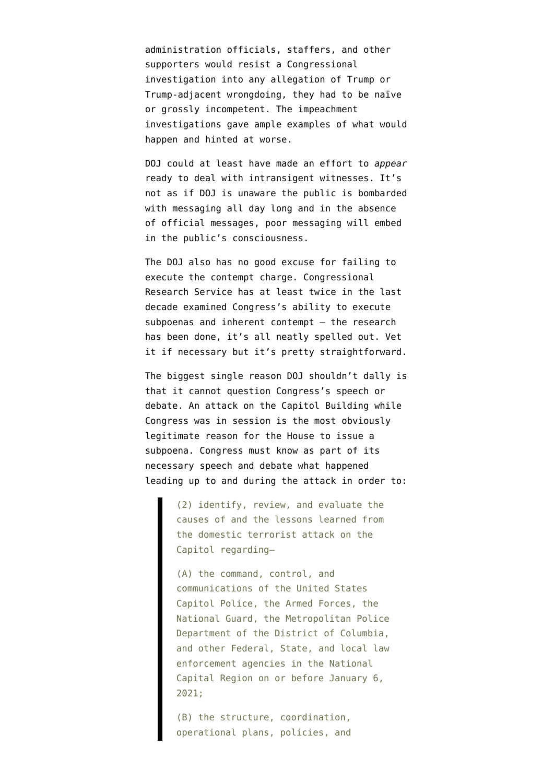administration officials, staffers, and other supporters would resist a Congressional investigation into any allegation of Trump or Trump-adjacent wrongdoing, they had to be naïve or grossly incompetent. The impeachment investigations gave ample examples of what would happen and hinted at worse.

DOJ could at least have made an effort to *appear* ready to deal with intransigent witnesses. It's not as if DOJ is unaware the public is bombarded with messaging all day long and in the absence of official messages, poor messaging will embed in the public's consciousness.

The DOJ also has no good excuse for failing to execute the contempt charge. Congressional Research Service has at least twice in the last decade examined Congress's ability to execute subpoenas and inherent contempt — the research has been done, it's all neatly spelled out. Vet it if necessary but it's pretty straightforward.

The biggest single reason DOJ shouldn't dally is that it cannot question Congress's [speech or](https://en.wikipedia.org/wiki/Speech_or_Debate_Clause) [debate](https://en.wikipedia.org/wiki/Speech_or_Debate_Clause). An attack on the Capitol Building while Congress was in session is the most obviously legitimate reason for the House to issue a subpoena. Congress must know as part of its necessary speech and debate what happened leading up to and during the attack [in order to:](https://january6th.house.gov/about)

> (2) identify, review, and evaluate the causes of and the lessons learned from the domestic terrorist attack on the Capitol regarding—

(A) the command, control, and communications of the United States Capitol Police, the Armed Forces, the National Guard, the Metropolitan Police Department of the District of Columbia, and other Federal, State, and local law enforcement agencies in the National Capital Region on or before January 6, 2021;

(B) the structure, coordination, operational plans, policies, and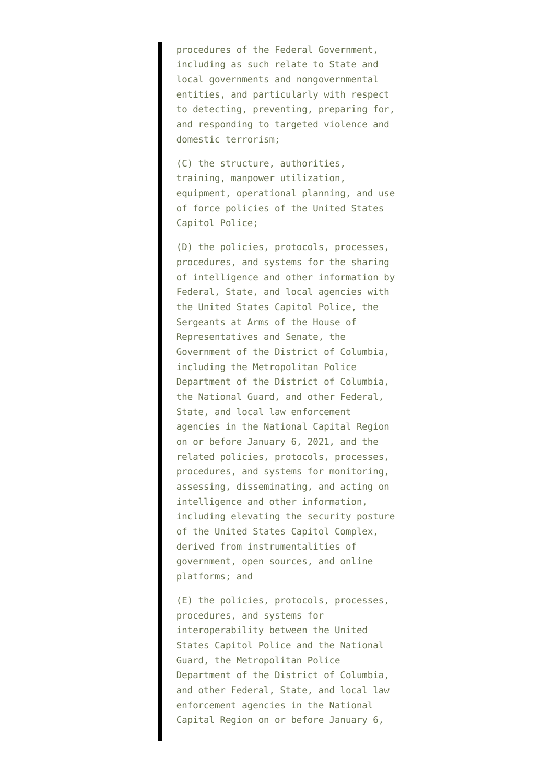procedures of the Federal Government, including as such relate to State and local governments and nongovernmental entities, and particularly with respect to detecting, preventing, preparing for, and responding to targeted violence and domestic terrorism;

(C) the structure, authorities, training, manpower utilization, equipment, operational planning, and use of force policies of the United States Capitol Police;

(D) the policies, protocols, processes, procedures, and systems for the sharing of intelligence and other information by Federal, State, and local agencies with the United States Capitol Police, the Sergeants at Arms of the House of Representatives and Senate, the Government of the District of Columbia, including the Metropolitan Police Department of the District of Columbia, the National Guard, and other Federal, State, and local law enforcement agencies in the National Capital Region on or before January 6, 2021, and the related policies, protocols, processes, procedures, and systems for monitoring, assessing, disseminating, and acting on intelligence and other information, including elevating the security posture of the United States Capitol Complex, derived from instrumentalities of government, open sources, and online platforms; and

(E) the policies, protocols, processes, procedures, and systems for interoperability between the United States Capitol Police and the National Guard, the Metropolitan Police Department of the District of Columbia, and other Federal, State, and local law enforcement agencies in the National Capital Region on or before January 6,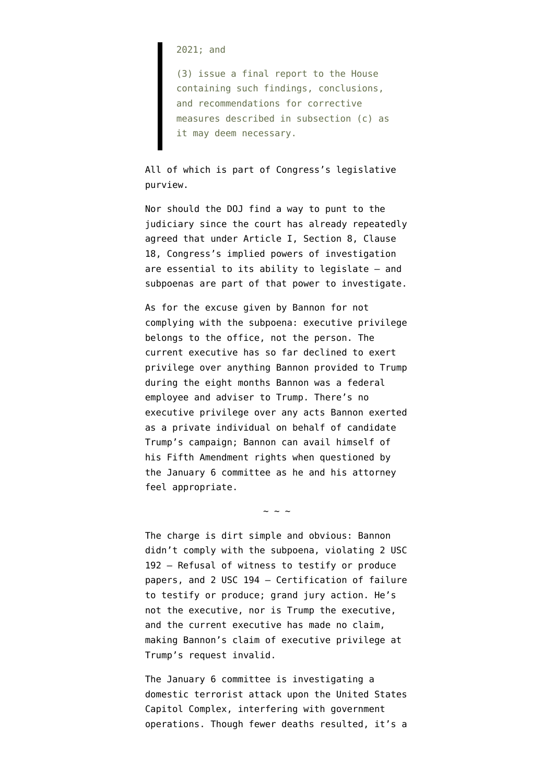2021; and

(3) issue a final report to the House containing such findings, conclusions, and recommendations for corrective measures described in subsection (c) as it may deem necessary.

All of which is part of Congress's legislative purview.

Nor should the DOJ find a way to punt to the judiciary since the court has already repeatedly agreed that under Article I, Section 8, Clause 18, Congress's implied powers of investigation are essential to its ability to legislate — and subpoenas are part of that power to investigate.

As for the excuse given by Bannon for not complying with the subpoena: executive privilege belongs to the office, not the person. The current executive has so far declined to exert privilege over anything Bannon provided to Trump during the eight months Bannon was a federal employee and adviser to Trump. There's no executive privilege over any acts Bannon exerted as a private individual on behalf of candidate Trump's campaign; Bannon can avail himself of his Fifth Amendment rights when questioned by the January 6 committee as he and his attorney feel appropriate.

The charge is dirt simple and obvious: Bannon didn't comply with the subpoena, violating [2 USC](https://www.law.cornell.edu/uscode/text/2/192) [192 – Refusal of witness to testify or produce](https://www.law.cornell.edu/uscode/text/2/192) [papers](https://www.law.cornell.edu/uscode/text/2/192), and [2 USC 194 – Certification of failure](https://www.law.cornell.edu/uscode/text/2/194) [to testify or produce; grand jury action.](https://www.law.cornell.edu/uscode/text/2/194) He's not the executive, nor is Trump the executive, and the current executive has made no claim, making Bannon's claim of executive privilege at Trump's request invalid.

 $\sim$  ~ ~

The January 6 committee is investigating a domestic terrorist attack upon the United States Capitol Complex, interfering with government operations. Though fewer deaths resulted, it's a